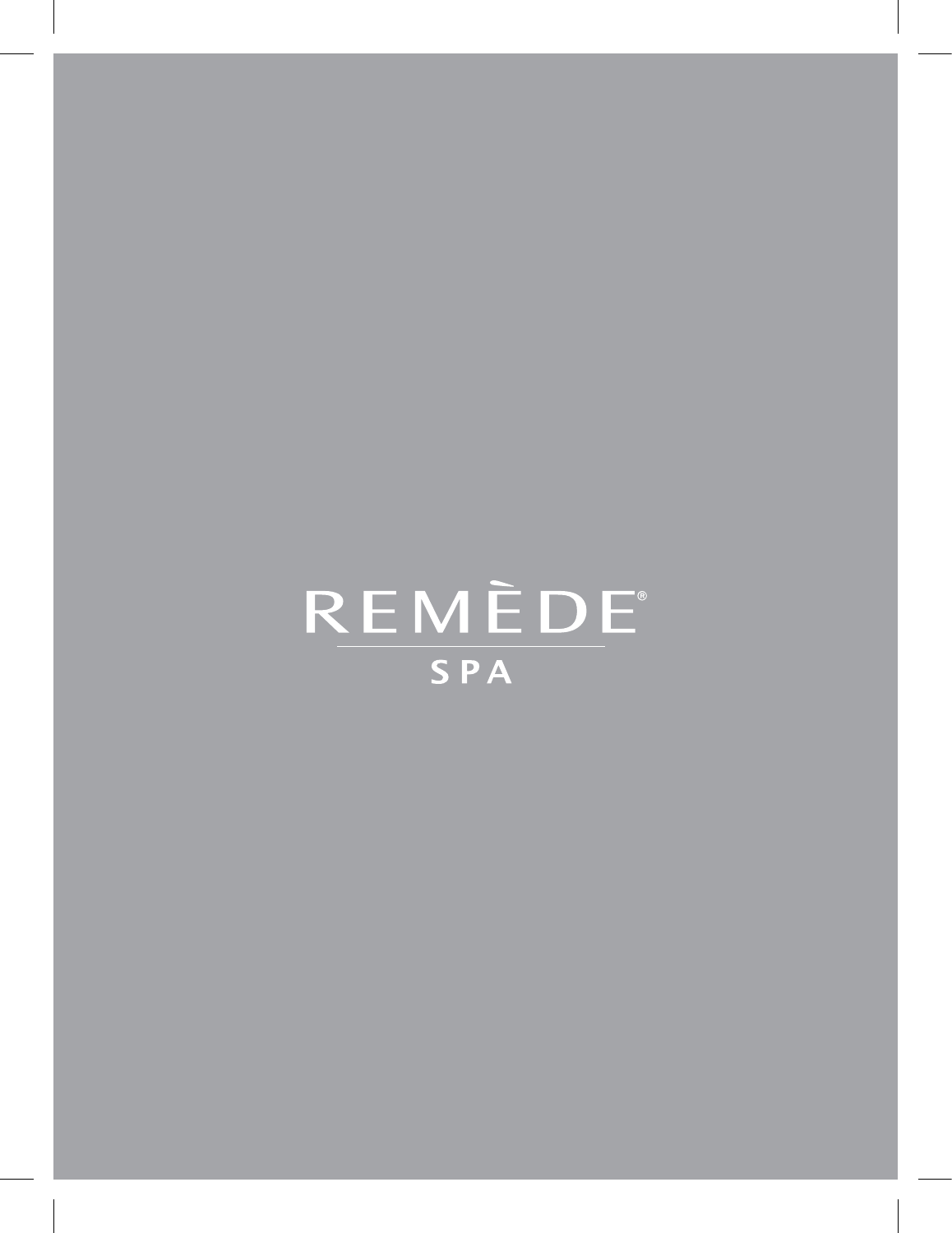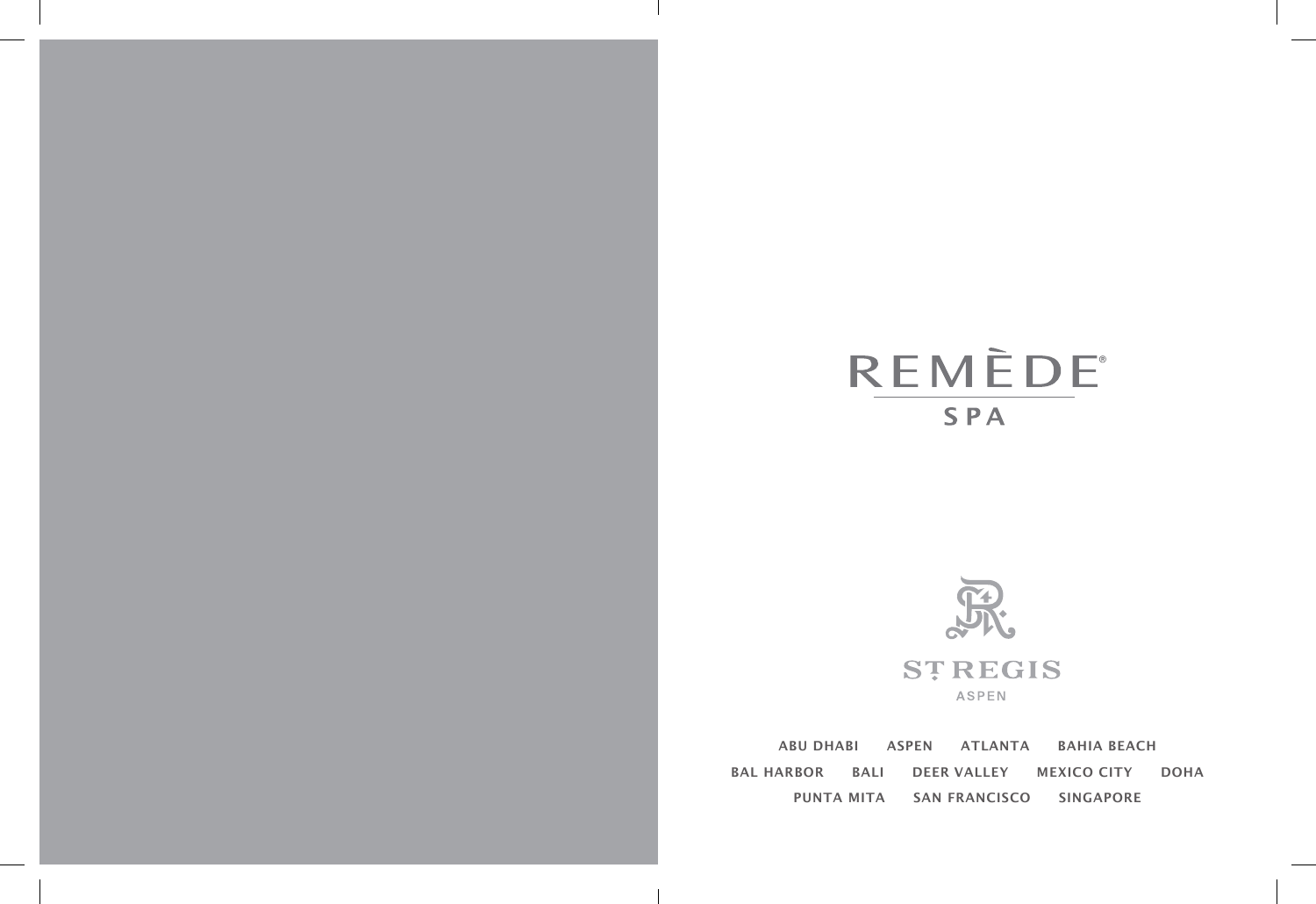# REMÈDE® **SPA**

**I** 



BAL HARBOR BALI DEER VALLEY MEXICO CITY DOHA ABU DHABI ASPEN ATLANTA BAHIA BEACH PUNTA MITA SAN FRANCISCO SINGAPORE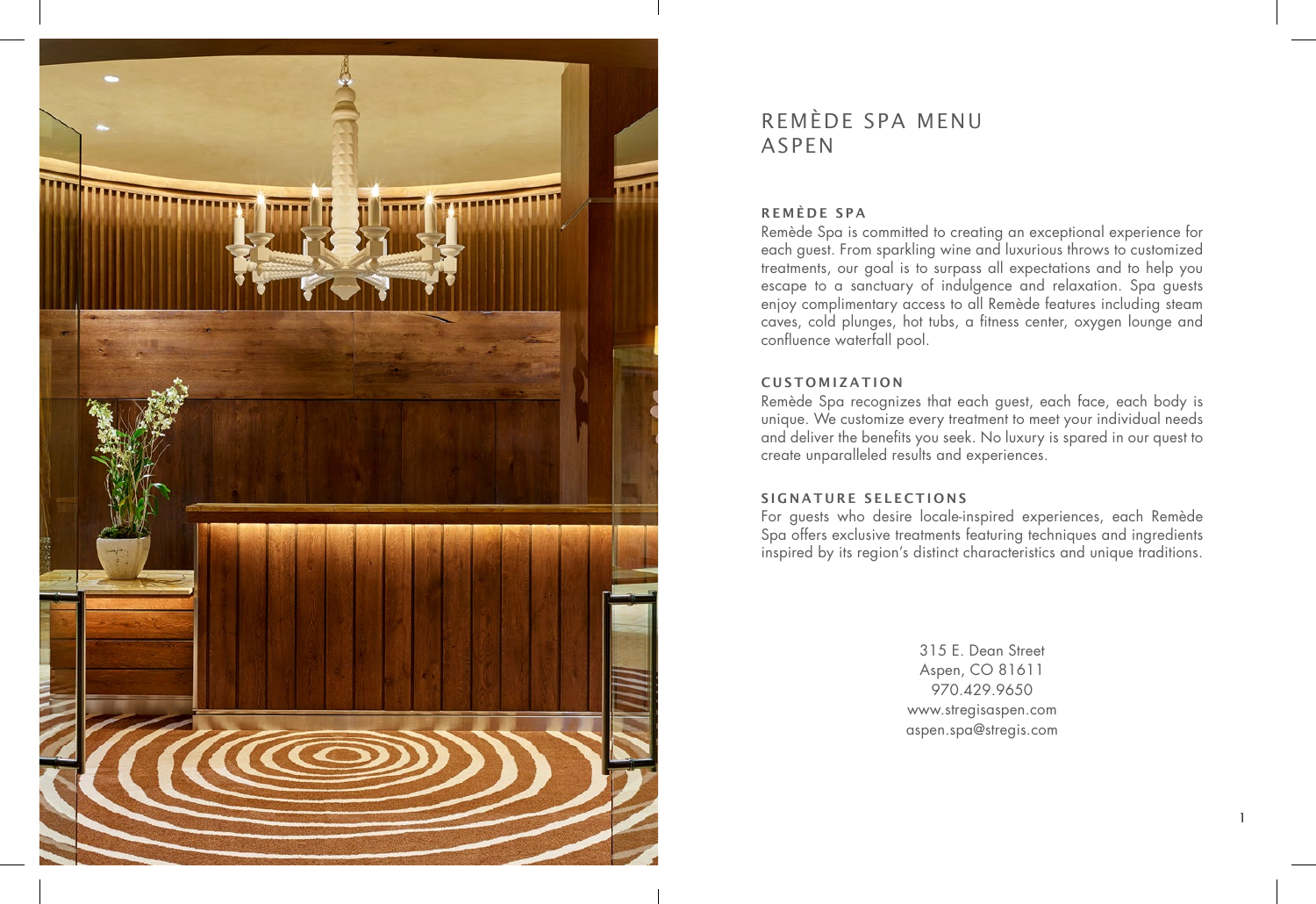

# REMÈDE SPA MENU ASPEN

### R E M È D E S P A

Remède Spa is committed to creating an exceptional experience for each guest. From sparkling wine and luxurious throws to customized treatments, our goal is to surpass all expectations and to help you escape to a sanctuary of indulgence and relaxation. Spa guests enjoy complimentary access to all Remède features including steam caves, cold plunges, hot tubs, a fitness center, oxygen lounge and confluence waterfall pool.

### CUSTOMIZATION

Remède Spa recognizes that each guest, each face, each body is unique. We customize every treatment to meet your individual needs and deliver the benefits you seek. No luxury is spared in our quest to create unparalleled results and experiences.

### SIGNATURE SELECTIONS

For guests who desire locale-inspired experiences, each Remède Spa offers exclusive treatments featuring techniques and ingredients inspired by its region's distinct characteristics and unique traditions.

> 315 E. Dean Street Aspen, CO 81611 970.429.9650 www.stregisaspen.com aspen.spa@stregis.com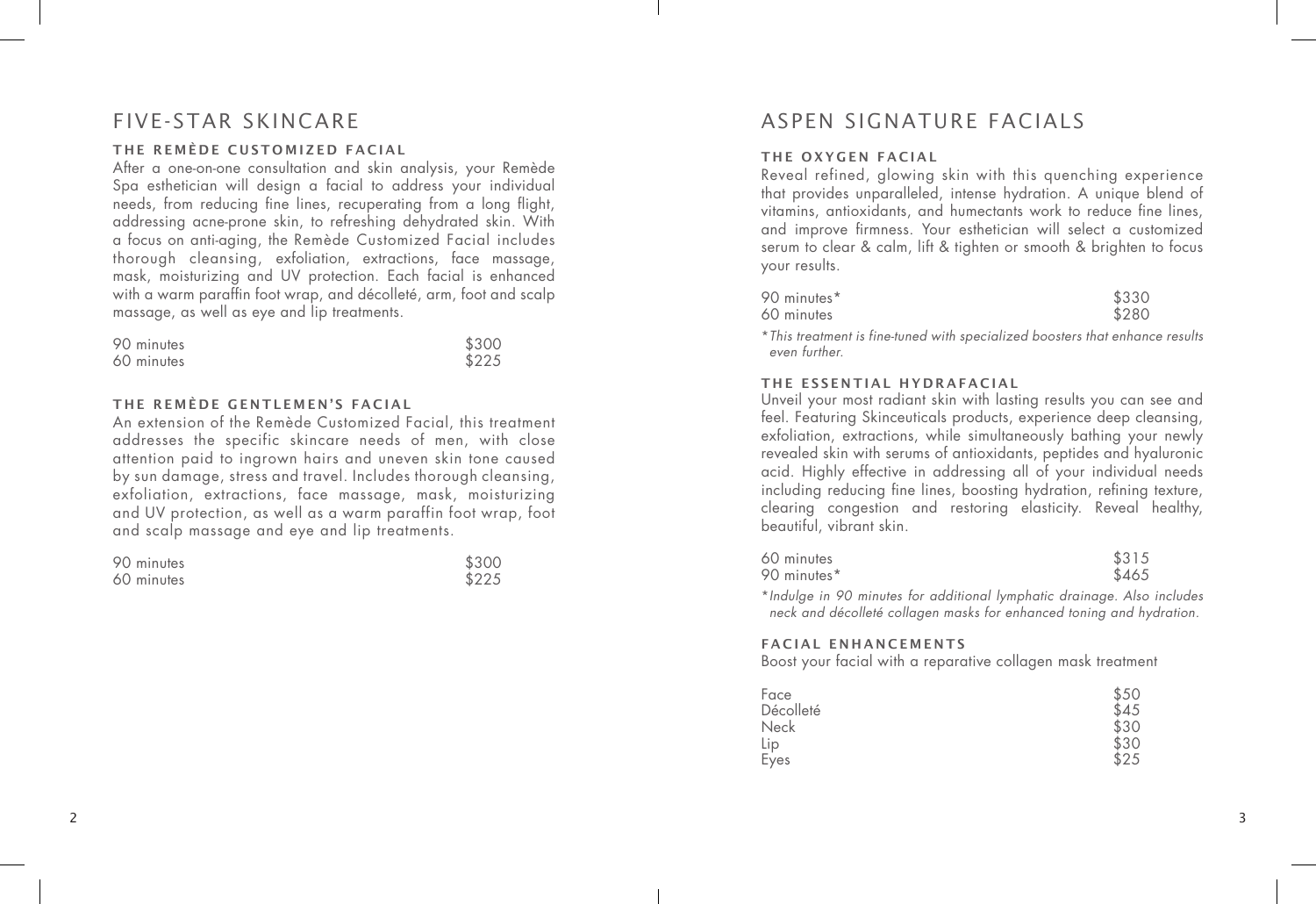# FIVE-STAR SKINCARE

### THE REMÈDE CUSTOMIZED FACIAL

After a one-on-one consultation and skin analysis, your Remède Spa esthetician will design a facial to address your individual needs, from reducing fine lines, recuperating from a long flight, addressing acne-prone skin, to refreshing dehydrated skin. With a focus on anti-aging, the Remède Customized Facial includes thorough cleansing, exfoliation, extractions, face massage, mask, moisturizing and UV protection. Each facial is enhanced with a warm paraffin foot wrap, and décolleté, arm, foot and scalp massage, as well as eye and lip treatments.

| 90 minutes | \$300 |
|------------|-------|
| 60 minutes | \$225 |

### THE REMÈDE GENTI EMEN'S FACIAL

An extension of the Remède Customized Facial, this treatment addresses the specific skincare needs of men, with close attention paid to ingrown hairs and uneven skin tone caused by sun damage, stress and travel. Includes thorough cleansing, exfoliation, extractions, face massage, mask, moisturizing and UV protection, as well as a warm paraffin foot wrap, foot and scalp massage and eye and lip treatments.

| 90 minutes | \$300 |
|------------|-------|
| 60 minutes | \$225 |

# ASPEN SIGNATURE FACIALS

### THE OXYGEN FACIAL

Reveal refined, glowing skin with this quenching experience that provides unparalleled, intense hydration. A unique blend of vitamins, antioxidants, and humectants work to reduce fine lines, and improve firmness. Your esthetician will select a customized serum to clear & calm, lift & tighten or smooth & brighten to focus your results.

| 90 minutes* | \$330 |
|-------------|-------|
| 60 minutes  | \$280 |

\**This treatment is fine-tuned with specialized boosters that enhance results even further.*

### THE ESSENTIAL HYDRAFACIAL

Unveil your most radiant skin with lasting results you can see and feel. Featuring Skinceuticals products, experience deep cleansing, exfoliation, extractions, while simultaneously bathing your newly revealed skin with serums of antioxidants, peptides and hyaluronic acid. Highly effective in addressing all of your individual needs including reducing fine lines, boosting hydration, refining texture, clearing congestion and restoring elasticity. Reveal healthy, beautiful, vibrant skin.

| 60 minutes  | \$315 |
|-------------|-------|
| 90 minutes* | \$465 |

*neck and décolleté collagen masks for enhanced toning and hydration.* 

### FACIAL ENHANCEMENTS

| *Indulge in 90 minutes for additional lymphatic drainage. Also includes<br>neck and décolleté collagen masks for enhanced toning and hydration. |                                      |
|-------------------------------------------------------------------------------------------------------------------------------------------------|--------------------------------------|
| <b>FACIAL ENHANCEMENTS</b><br>Boost your facial with a reparative collagen mask treatment                                                       |                                      |
| Face<br>Décolleté<br>Neck<br>Lip<br>Eyes                                                                                                        | \$50<br>\$45<br>\$30<br>\$30<br>\$25 |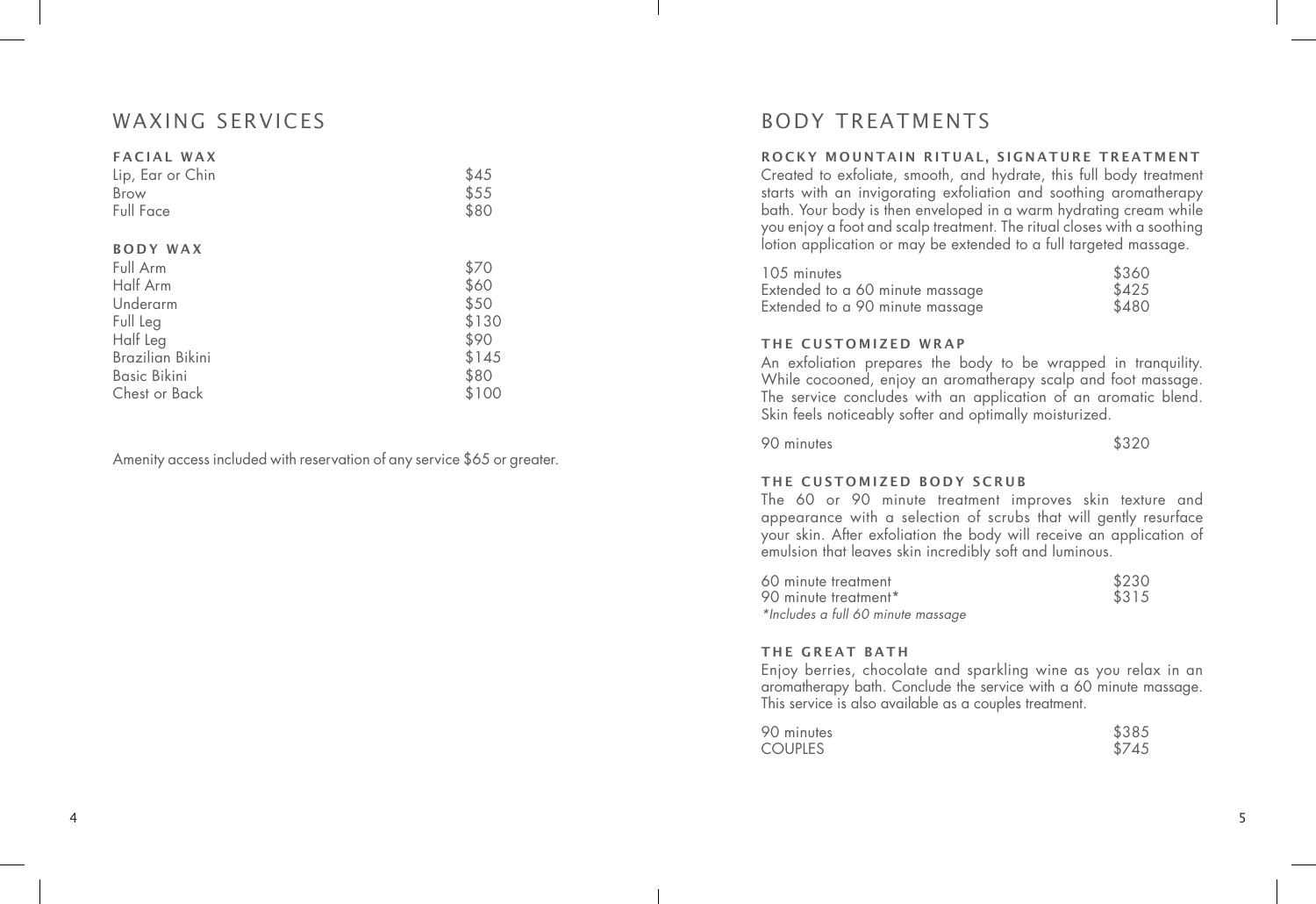# WAXING SERVICES

| <b>FACIAL WAX</b><br>Lip, Ear or Chin<br><b>Brow</b><br>Full Face | \$45<br>\$55<br>\$80 |
|-------------------------------------------------------------------|----------------------|
| <b>BODY WAX</b>                                                   |                      |
| Full Arm                                                          | \$70                 |
| Half Arm                                                          | \$60                 |
| Underarm                                                          | \$50                 |
| Full Leg                                                          | \$130                |
| Half Leg                                                          | \$90                 |
| Brazilian Bikini                                                  | \$145                |
| <b>Basic Bikini</b>                                               | \$80                 |
| Chest or Back                                                     | \$100                |

Amenity access included with reservation of any service \$65 or greater.

# BODY TREATMENTS

### ROCKY MOUNTAIN RITUAL, SIGNATURE TREATMENT

Created to exfoliate, smooth, and hydrate, this full body treatment starts with an invigorating exfoliation and soothing aromatherapy bath. Your body is then enveloped in a warm hydrating cream while you enjoy a foot and scalp treatment. The ritual closes with a soothing lotion application or may be extended to a full targeted massage.

| 105 minutes                     | \$360 |
|---------------------------------|-------|
| Extended to a 60 minute massage | \$425 |
| Extended to a 90 minute massage | \$480 |

#### THE CUSTOMIZED WRAP

An exfoliation prepares the body to be wrapped in tranquility. While cocooned, enjoy an aromatherapy scalp and foot massage. The service concludes with an application of an aromatic blend. Skin feels noticeably softer and optimally moisturized.

90 minutes \$320

#### THE CUSTOMIZED BODY SCRUB

The 60 or 90 minute treatment improves skin texture and appearance with a selection of scrubs that will gently resurface your skin. After exfoliation the body will receive an application of emulsion that leaves skin incredibly soft and luminous.

|  | 60 minute treatment                | \$230 |
|--|------------------------------------|-------|
|  | 90 minute treatment*               | \$315 |
|  | *Includes a full 60 minute massage |       |

#### THE GREAT BATH

Enjoy berries, chocolate and sparkling wine as you relax in an aromatherapy bath. Conclude the service with a 60 minute massage. This service is also available as a couples treatment.

| 90 minutes     | \$385 |
|----------------|-------|
| <b>COUPLES</b> | \$745 |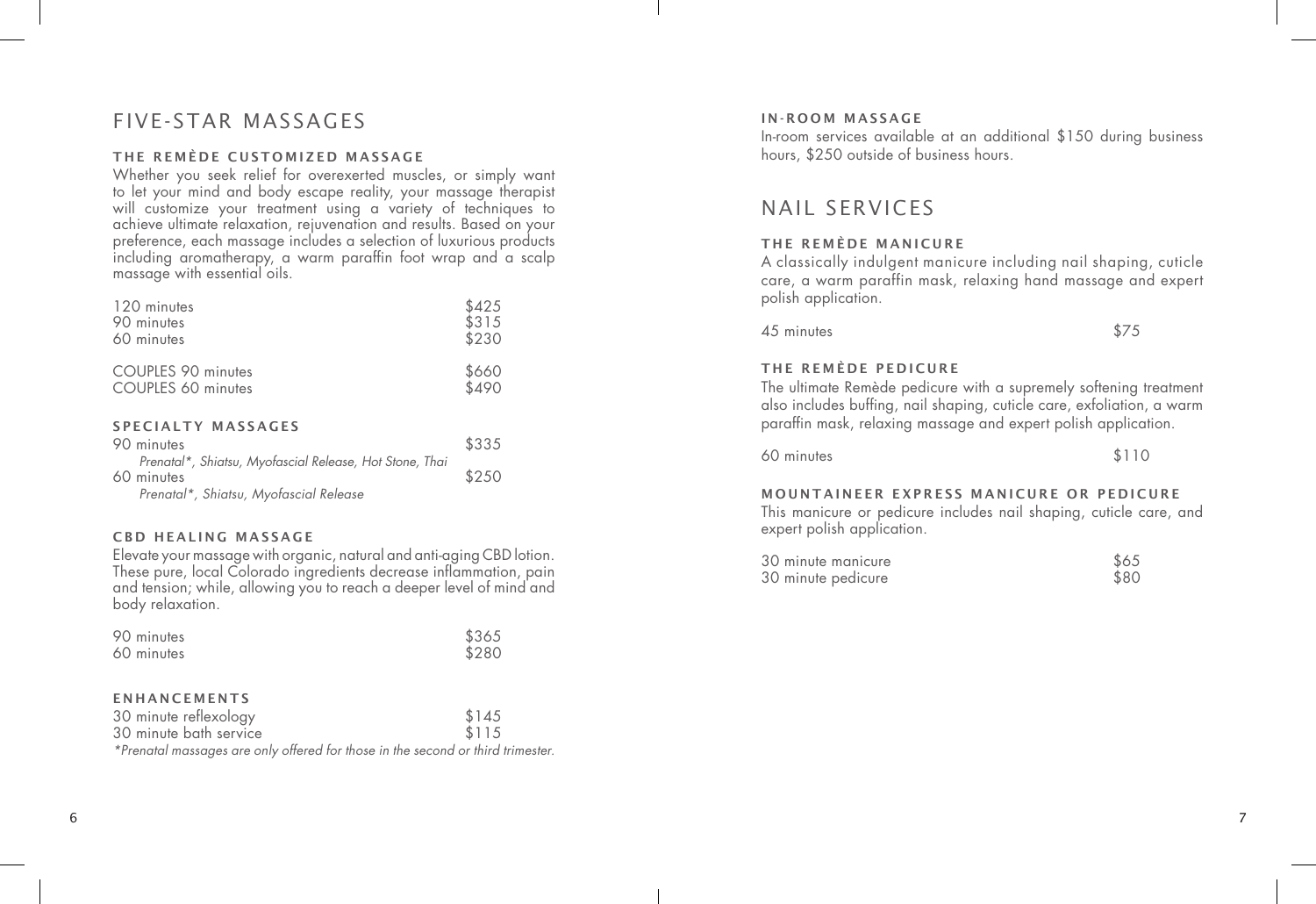# FIVE-STAR MASSAGES

### THE REMÈDE CUSTOMIZED MASSAGE

Whether you seek relief for overexerted muscles, or simply want to let your mind and body escape reality, your massage therapist will customize your treatment using a variety of techniques to achieve ultimate relaxation, rejuvenation and results. Based on your preference, each massage includes a selection of luxurious products including aromatherapy, a warm paraffin foot wrap and a scalp massage with essential oils.

| 120 minutes               | \$425 |
|---------------------------|-------|
| 90 minutes                | \$315 |
| 60 minutes                | \$230 |
| COUPLES 90 minutes        | \$660 |
| COUPLES 60 minutes        | \$490 |
| <b>SPECIALTY MASSAGES</b> |       |

| 90 minutes                                              | \$335 |
|---------------------------------------------------------|-------|
| Prenatal*, Shiatsu, Myofascial Release, Hot Stone, Thai |       |
| 60 minutes                                              | \$250 |
| Prenatal*, Shiatsu, Myofascial Release                  |       |

### CBD HEALING MASSAGE

Elevate your massage with organic, natural and anti-aging CBD lotion. These pure, local Colorado ingredients decrease inflammation, pain and tension; while, allowing you to reach a deeper level of mind and body relaxation.

| 90 minutes | \$365 |
|------------|-------|
| 60 minutes | \$280 |

### ENHANCEMENTS

| 30 minute reflexology      | \$145 |
|----------------------------|-------|
| 30 minute bath service     | \$115 |
| →n II III II II II III III |       |

*\*Prenatal massages are only offered for those in the second or third trimester.*

#### I N - R O O M M A S S A G E

In-room services available at an additional \$150 during business hours, \$250 outside of business hours.

# NAIL SERVICES

### THE REMÈDE MANICURE

A classically indulgent manicure including nail shaping, cuticle care, a warm paraffin mask, relaxing hand massage and expert polish application.

45 minutes \$75

### THE REMÈDE PEDICURE

The ultimate Remède pedicure with a supremely softening treatment also includes buffing, nail shaping, cuticle care, exfoliation, a warm paraffin mask, relaxing massage and expert polish application.

| \$110 |  |  |
|-------|--|--|
|       |  |  |

### MOUNTAINEER EXPRESS MANICURE OR PEDICURE

This manicure or pedicure includes nail shaping, cuticle care, and expert polish application.

|  | 30 minute manicure | \$65 |
|--|--------------------|------|
|  | 30 minute pedicure | \$80 |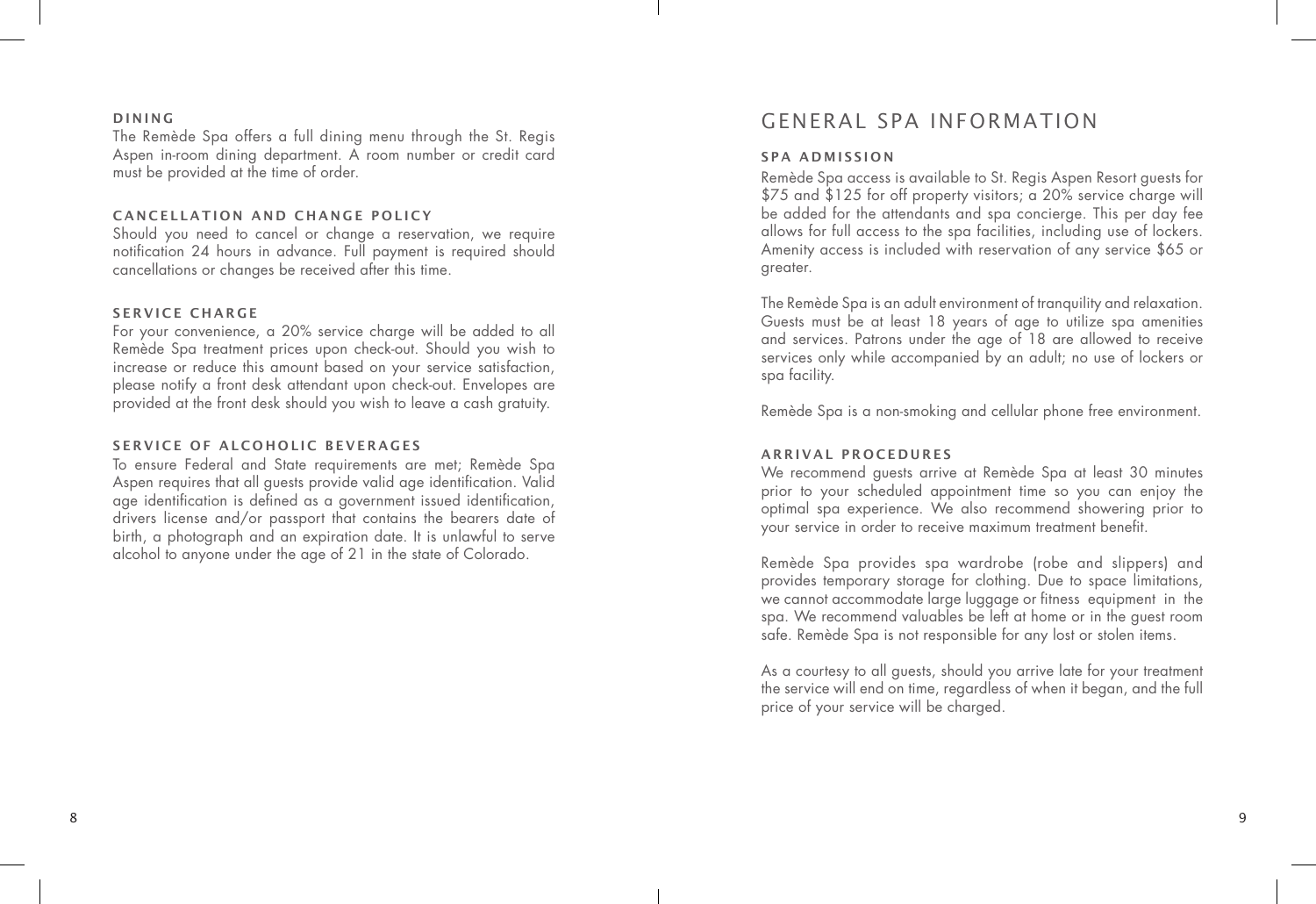#### DINING

The Remède Spa offers a full dining menu through the St. Regis Aspen in-room dining department. A room number or credit card must be provided at the time of order.

### CANCELLATION AND CHANGE POLICY

Should you need to cancel or change a reservation, we require notification 24 hours in advance. Full payment is required should cancellations or changes be received after this time.

### SERVICE CHARGE

For your convenience, a 20% service charge will be added to all Remède Spa treatment prices upon check-out. Should you wish to increase or reduce this amount based on your service satisfaction, please notify a front desk attendant upon check-out. Envelopes are provided at the front desk should you wish to leave a cash gratuity.

### SERVICE OF ALCOHOLIC REVERAGES

To ensure Federal and State requirements are met; Remède Spa Aspen requires that all guests provide valid age identification. Valid age identification is defined as a government issued identification, drivers license and/or passport that contains the bearers date of birth, a photograph and an expiration date. It is unlawful to serve alcohol to anyone under the age of 21 in the state of Colorado.

# GENERAL SPA INFORMATION

#### SPA ADMISSION

Remède Spa access is available to St. Regis Aspen Resort guests for \$75 and \$125 for off property visitors; a 20% service charge will be added for the attendants and spa concierge. This per day fee allows for full access to the spa facilities, including use of lockers. Amenity access is included with reservation of any service \$65 or greater.

The Remède Spa is an adult environment of tranquility and relaxation. Guests must be at least 18 years of age to utilize spa amenities and services. Patrons under the age of 18 are allowed to receive services only while accompanied by an adult; no use of lockers or spa facility.

Remède Spa is a non-smoking and cellular phone free environment.

### ARRIVAL PROCEDURES

We recommend guests arrive at Remède Spa at least 30 minutes prior to your scheduled appointment time so you can enjoy the optimal spa experience. We also recommend showering prior to your service in order to receive maximum treatment benefit.

Remède Spa provides spa wardrobe (robe and slippers) and provides temporary storage for clothing. Due to space limitations, we cannot accommodate large luggage or fitness equipment in the spa. We recommend valuables be left at home or in the guest room safe. Remède Spa is not responsible for any lost or stolen items.

As a courtesy to all guests, should you arrive late for your treatment the service will end on time, regardless of when it began, and the full price of your service will be charged.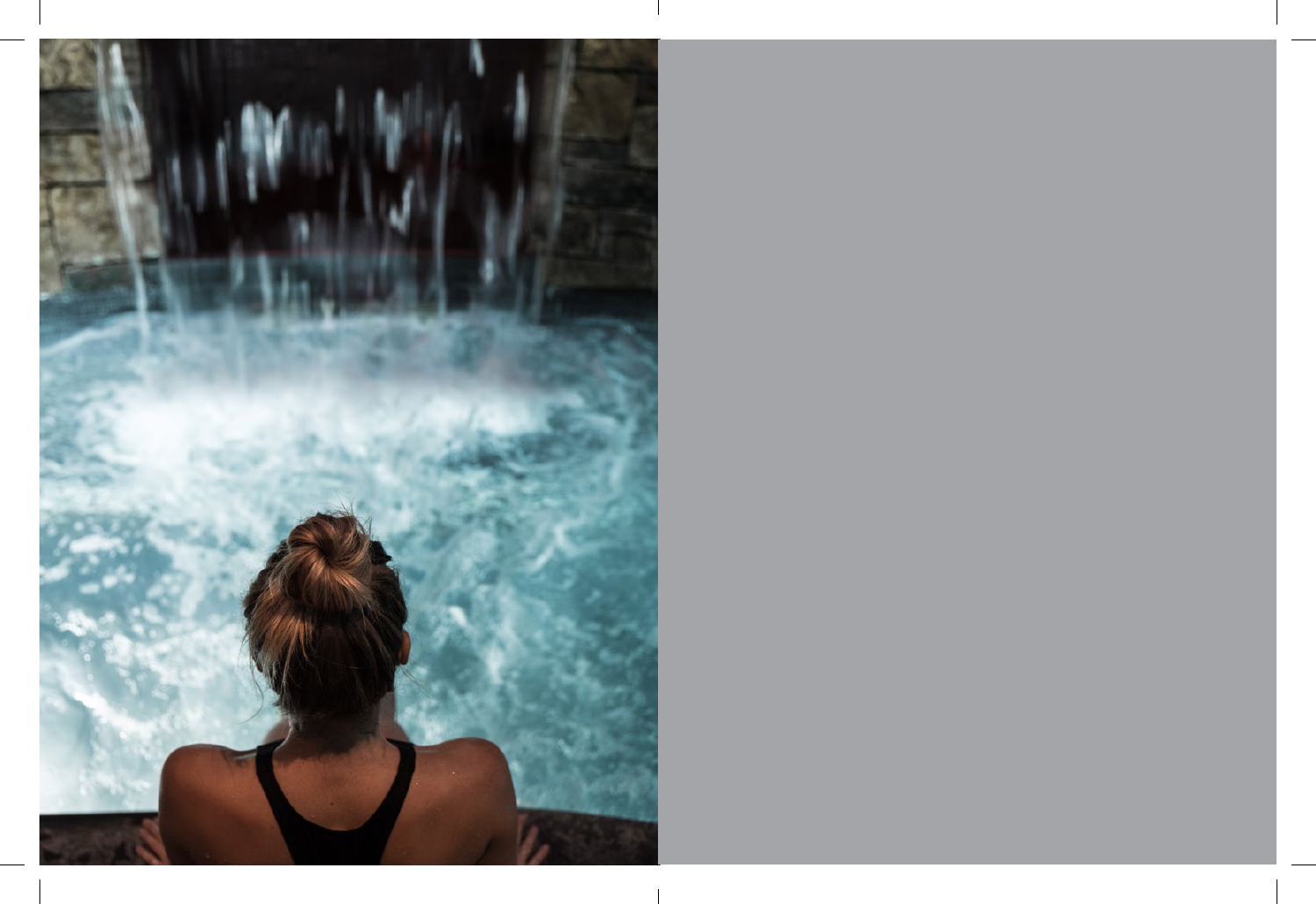